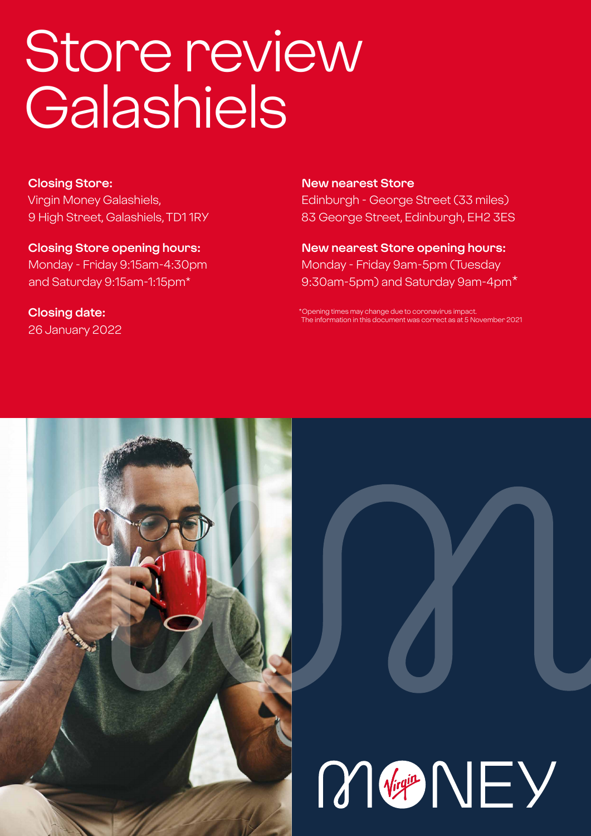# Store review **Galashiels**

**Closing Store:** Virgin Money Galashiels, 9 High Street, Galashiels, TD1 1RY

**Closing Store opening hours:**  Monday - Friday 9:15am-4:30pm and Saturday 9:15am-1:15pm\*

**Closing date:**  26 January 2022

#### **New nearest Store**

Edinburgh - George Street (33 miles) 83 George Street, Edinburgh, EH2 3ES

**New nearest Store opening hours:** Monday - Friday 9am-5pm (Tuesday 9:30am-5pm) and Saturday 9am-4pm\*

\*Opening times may change due to coronavirus impact. The information in this document was correct as at 5 November 2021



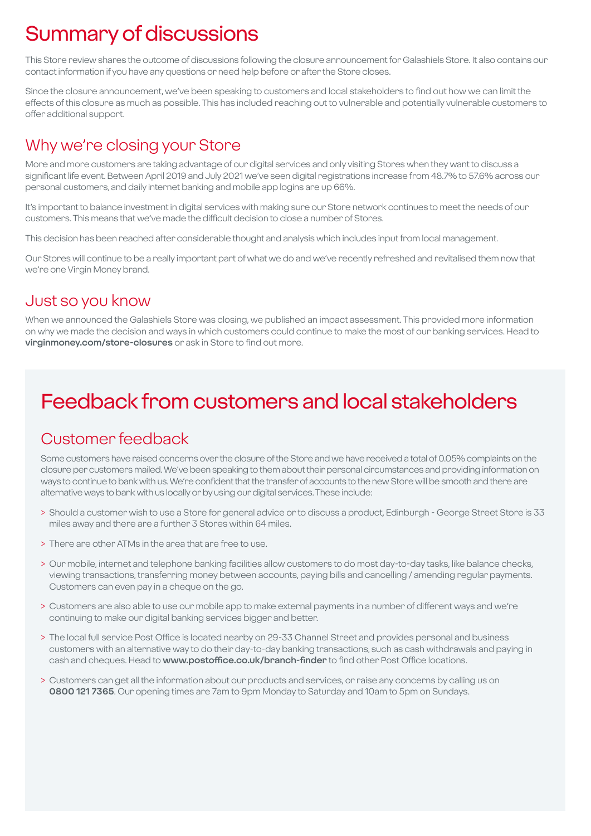# Summary of discussions

This Store review shares the outcome of discussions following the closure announcement for Galashiels Store. It also contains our contact information if you have any questions or need help before or after the Store closes.

Since the closure announcement, we've been speaking to customers and local stakeholders to find out how we can limit the effects of this closure as much as possible. This has included reaching out to vulnerable and potentially vulnerable customers to offer additional support.

### Why we're closing your Store

More and more customers are taking advantage of our digital services and only visiting Stores when they want to discuss a significant life event. Between April 2019 and July 2021 we've seen digital registrations increase from 48.7% to 57.6% across our personal customers, and daily internet banking and mobile app logins are up 66%.

It's important to balance investment in digital services with making sure our Store network continues to meet the needs of our customers. This means that we've made the difficult decision to close a number of Stores.

This decision has been reached after considerable thought and analysis which includes input from local management.

Our Stores will continue to be a really important part of what we do and we've recently refreshed and revitalised them now that we're one Virgin Money brand.

### Just so you know

When we announced the Galashiels Store was closing, we published an impact assessment. This provided more information on why we made the decision and ways in which customers could continue to make the most of our banking services. Head to **virginmoney.com/store-closures** or ask in Store to find out more.

# Feedback from customers and local stakeholders

### Customer feedback

Some customers have raised concerns over the closure of the Store and we have received a total of 0.05% complaints on the closure per customers mailed. We've been speaking to them about their personal circumstances and providing information on ways to continue to bank with us. We're confident that the transfer of accounts to the new Store will be smooth and there are alternative ways to bank with us locally or by using our digital services. These include:

- > Should a customer wish to use a Store for general advice or to discuss a product, Edinburgh George Street Store is 33 miles away and there are a further 3 Stores within 64 miles.
- > There are other ATMs in the area that are free to use.
- > Our mobile, internet and telephone banking facilities allow customers to do most day-to-day tasks, like balance checks, viewing transactions, transferring money between accounts, paying bills and cancelling / amending regular payments. Customers can even pay in a cheque on the go.
- > Customers are also able to use our mobile app to make external payments in a number of different ways and we're continuing to make our digital banking services bigger and better.
- > The local full service Post Office is located nearby on 29-33 Channel Street and provides personal and business customers with an alternative way to do their day-to-day banking transactions, such as cash withdrawals and paying in cash and cheques. Head to **www.postoffice.co.uk/branch-finder** to find other Post Office locations.
- > Customers can get all the information about our products and services, or raise any concerns by calling us on **0800 121 7365**. Our opening times are 7am to 9pm Monday to Saturday and 10am to 5pm on Sundays.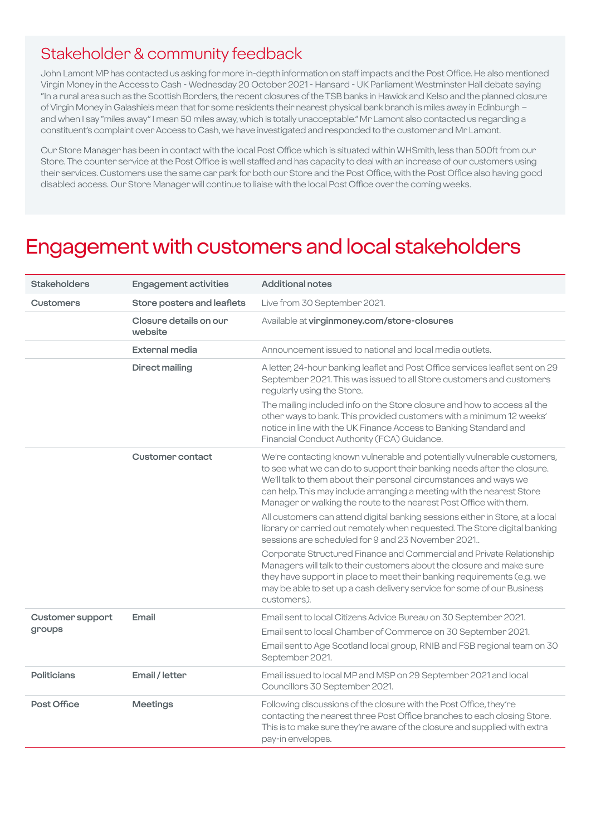### Stakeholder & community feedback

John Lamont MP has contacted us asking for more in-depth information on staff impacts and the Post Office. He also mentioned Virgin Money in the Access to Cash - Wednesday 20 October 2021 - Hansard - UK Parliament Westminster Hall debate saying "In a rural area such as the Scottish Borders, the recent closures of the TSB banks in Hawick and Kelso and the planned closure of Virgin Money in Galashiels mean that for some residents their nearest physical bank branch is miles away in Edinburgh – and when I say "miles away" I mean 50 miles away, which is totally unacceptable." Mr Lamont also contacted us regarding a constituent's complaint over Access to Cash, we have investigated and responded to the customer and Mr Lamont.

Our Store Manager has been in contact with the local Post Office which is situated within WHSmith, less than 500ft from our Store. The counter service at the Post Office is well staffed and has capacity to deal with an increase of our customers using their services. Customers use the same car park for both our Store and the Post Office, with the Post Office also having good disabled access. Our Store Manager will continue to liaise with the local Post Office over the coming weeks.

### Engagement with customers and local stakeholders

| <b>Stakeholders</b>               | <b>Engagement activities</b>      | <b>Additional notes</b>                                                                                                                                                                                                                                                                                                                                                |
|-----------------------------------|-----------------------------------|------------------------------------------------------------------------------------------------------------------------------------------------------------------------------------------------------------------------------------------------------------------------------------------------------------------------------------------------------------------------|
| <b>Customers</b>                  | Store posters and leaflets        | Live from 30 September 2021.                                                                                                                                                                                                                                                                                                                                           |
|                                   | Closure details on our<br>website | Available at virginmoney.com/store-closures                                                                                                                                                                                                                                                                                                                            |
|                                   | <b>External media</b>             | Announcement issued to national and local media outlets.                                                                                                                                                                                                                                                                                                               |
|                                   | <b>Direct mailing</b>             | A letter, 24-hour banking leaflet and Post Office services leaflet sent on 29<br>September 2021. This was issued to all Store customers and customers<br>regularly using the Store.                                                                                                                                                                                    |
|                                   |                                   | The mailing included info on the Store closure and how to access all the<br>other ways to bank. This provided customers with a minimum 12 weeks'<br>notice in line with the UK Finance Access to Banking Standard and<br>Financial Conduct Authority (FCA) Guidance.                                                                                                   |
|                                   | Customer contact                  | We're contacting known vulnerable and potentially vulnerable customers,<br>to see what we can do to support their banking needs after the closure.<br>We'll talk to them about their personal circumstances and ways we<br>can help. This may include arranging a meeting with the nearest Store<br>Manager or walking the route to the nearest Post Office with them. |
|                                   |                                   | All customers can attend digital banking sessions either in Store, at a local<br>library or carried out remotely when requested. The Store digital banking<br>sessions are scheduled for 9 and 23 November 2021.                                                                                                                                                       |
|                                   |                                   | Corporate Structured Finance and Commercial and Private Relationship<br>Managers will talk to their customers about the closure and make sure<br>they have support in place to meet their banking requirements (e.g. we<br>may be able to set up a cash delivery service for some of our Business<br>customers).                                                       |
| <b>Customer support</b><br>groups | Email                             | Email sent to local Citizens Advice Bureau on 30 September 2021.                                                                                                                                                                                                                                                                                                       |
|                                   |                                   | Email sent to local Chamber of Commerce on 30 September 2021.                                                                                                                                                                                                                                                                                                          |
|                                   |                                   | Email sent to Age Scotland local group, RNIB and FSB regional team on 30<br>September 2021.                                                                                                                                                                                                                                                                            |
| Politicians                       | Email / letter                    | Email issued to local MP and MSP on 29 September 2021 and local<br>Councillors 30 September 2021.                                                                                                                                                                                                                                                                      |
| Post Office                       | <b>Meetings</b>                   | Following discussions of the closure with the Post Office, they're<br>contacting the nearest three Post Office branches to each closing Store.<br>This is to make sure they're aware of the closure and supplied with extra<br>pay-in envelopes.                                                                                                                       |
|                                   |                                   |                                                                                                                                                                                                                                                                                                                                                                        |